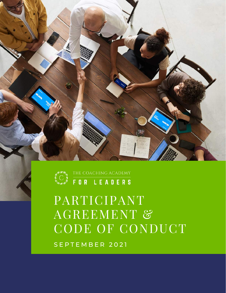### S E P T E M B E R 2 0 2 1

# PARTICIPANT AGREEMENT & CODE OF CONDUCT



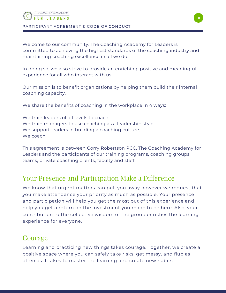

PARTICIPANT AGREEMENT & CODE OF CONDUCT

Welcome to our community. The Coaching Academy for Leaders is committed to achieving the highest standards of the coaching industry and maintaining coaching excellence in all we do.

In doing so, we also strive to provide an enriching, positive and meaningful experience for all who interact with us.

Our mission is to benefit organizations by helping them build their internal coaching capacity.

We share the benefits of coaching in the workplace in 4 ways:

We train leaders of all levels to coach. We train managers to use coaching as a leadership style. We support leaders in building a coaching culture. We coach.

This agreement is between Corry Robertson PCC, The Coaching Academy for Leaders and the participants of our training programs, coaching groups, teams, private coaching clients, faculty and staff.

#### Your Presence and Participation Make a Difference

We know that urgent matters can pull you away however we request that you make attendance your priority as much as possible. Your presence and participation will help you get the most out of this experience and help you get a return on the investment you made to be here. Also, your contribution to the collective wisdom of the group enriches the learning experience for everyone.

#### **Courage**

Learning and practicing new things takes courage. Together, we create a positive space where you can safely take risks, get messy, and flub as often as it takes to master the learning and create new habits.

01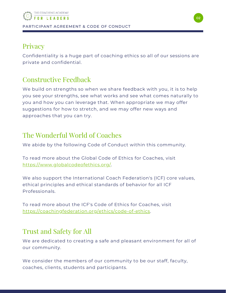#### **Privacy**

Confidentiality is a huge part of coaching ethics so all of our sessions are private and confidential.

#### Constructive Feedback

We build on strengths so when we share feedback with you, it is to help you see your strengths, see what works and see what comes naturally to you and how you can leverage that. When appropriate we may offer suggestions for how to stretch, and we may offer new ways and approaches that you can try.

#### The Wonderful World of Coaches

We abide by the following Code of Conduct within this community.

To read more about the Global Code of Ethics for Coaches, visit <https://www.globalcodeofethics.org/>.

We also support the International Coach Federation's (ICF) core values, ethical principles and ethical standards of behavior for all ICF Professionals.

To read more about the ICF's Code of Ethics for Coaches, visit [https://coachingfederation.org/ethics/code-of-ethics.](https://coachingfederation.org/ethics/code-of-ethics)

### Trust and Safety for All

We are dedicated to creating a safe and pleasant environment for all of our community.

We consider the members of our community to be our staff, faculty, coaches, clients, students and participants.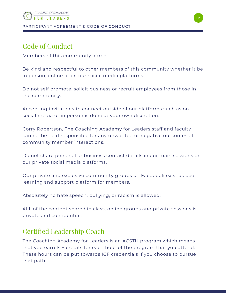## Code of Conduct

Members of this community agree:

Be kind and respectful to other members of this community whether it be in person, online or on our social media platforms.

Do not self promote, solicit business or recruit employees from those in the community.

Accepting invitations to connect outside of our platforms such as on social media or in person is done at your own discretion.

Corry Robertson, The Coaching Academy for Leaders staff and faculty cannot be held responsible for any unwanted or negative outcomes of community member interactions.

Do not share personal or business contact details in our main sessions or our private social media platforms.

Our private and exclusive community groups on Facebook exist as peer learning and support platform for members.

Absolutely no hate speech, bullying, or racism is allowed.

ALL of the content shared in class, online groups and private sessions is private and confidential.

### Certified Leadership Coach

The Coaching Academy for Leaders is an ACSTH program which means that you earn ICF credits for each hour of the program that you attend. These hours can be put towards ICF credentials if you choose to pursue that path.

03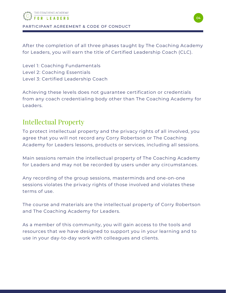

PARTICIPANT AGREEMENT & CODE OF CONDUCT

After the completion of all three phases taught by The Coaching Academy for Leaders, you will earn the title of Certified Leadership Coach (CLC).

Level 1: Coaching Fundamentals Level 2: Coaching Essentials Level 3: Certified Leadership Coach

Achieving these levels does not guarantee certification or credentials from any coach credentialing body other than The Coaching Academy for Leaders.

#### Intellectual Property

To protect intellectual property and the privacy rights of all involved, you agree that you will not record any Corry Robertson or The Coaching Academy for Leaders lessons, products or services, including all sessions.

Main sessions remain the intellectual property of The Coaching Academy for Leaders and may not be recorded by users under any circumstances.

Any recording of the group sessions, masterminds and one-on-one sessions violates the privacy rights of those involved and violates these terms of use.

The course and materials are the intellectual property of Corry Robertson and The Coaching Academy for Leaders.

As a member of this community, you will gain access to the tools and resources that we have designed to support you in your learning and to use in your day-to-day work with colleagues and clients.

04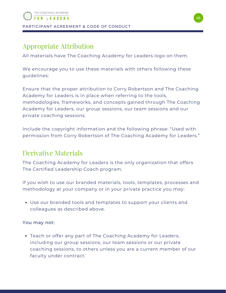#### Appropriate Attribution

All materials have The Coaching Academy for Leaders logo on them.

We encourage you to use these materials with others following these guidelines:

Ensure that the proper attribution to Corry Robertson and The Coaching Academy for Leaders is in place when referring to the tools, methodologies, frameworks, and concepts gained through The Coaching Academy for Leaders, our group sessions, our team sessions and our private coaching sessions.

Include the copyright information and the following phrase: "Used with permission from Corry Robertson of The Coaching Academy for Leaders."

#### Derivative Materials

The Coaching Academy for Leaders is the only organization that offers The Certified Leadership Coach program.

If you wish to use our branded materials, tools, templates, processes and methodology at your company or in your private practice you may:

Use our branded tools and templates to support your clients and colleagues as described above.

#### You may not:

Teach or offer any part of The Coaching Academy for Leaders, including our group sessions, our team sessions or our private coaching sessions, to others unless you are a current member of our faculty under contract.